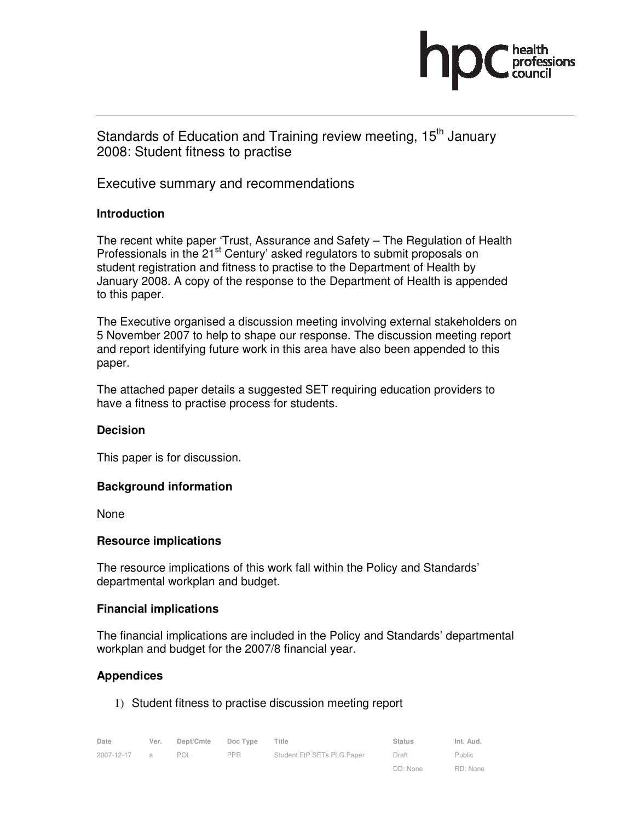

Standards of Education and Training review meeting, 15<sup>th</sup> January 2008: Student fitness to practise

Executive summary and recommendations

#### **Introduction**

The recent white paper 'Trust, Assurance and Safety – The Regulation of Health Professionals in the 21<sup>st</sup> Century' asked regulators to submit proposals on student registration and fitness to practise to the Department of Health by January 2008. A copy of the response to the Department of Health is appended to this paper.

The Executive organised a discussion meeting involving external stakeholders on 5 November 2007 to help to shape our response. The discussion meeting report and report identifying future work in this area have also been appended to this paper.

The attached paper details a suggested SET requiring education providers to have a fitness to practise process for students.

#### **Decision**

This paper is for discussion.

#### **Background information**

None

#### **Resource implications**

The resource implications of this work fall within the Policy and Standards' departmental workplan and budget.

#### **Financial implications**

The financial implications are included in the Policy and Standards' departmental workplan and budget for the 2007/8 financial year.

#### **Appendices**

#### 1) Student fitness to practise discussion meeting report

| Date       | Ver.           | Dept/Cmte | Doc Type   | Title                      | <b>Status</b> | Int. Aud. |
|------------|----------------|-----------|------------|----------------------------|---------------|-----------|
| 2007-12-17 | $\overline{a}$ | POL       | <b>PPR</b> | Student FtP SETs PLG Paper | Draft         | Public    |
|            |                |           |            |                            | DD: None      | RD: None  |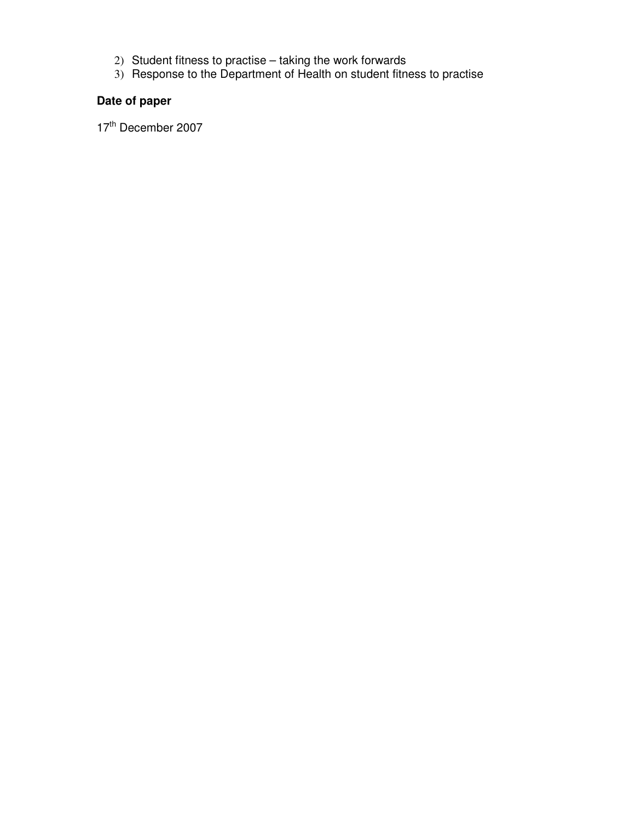- 2) Student fitness to practise taking the work forwards
- 3) Response to the Department of Health on student fitness to practise

#### **Date of paper**

17<sup>th</sup> December 2007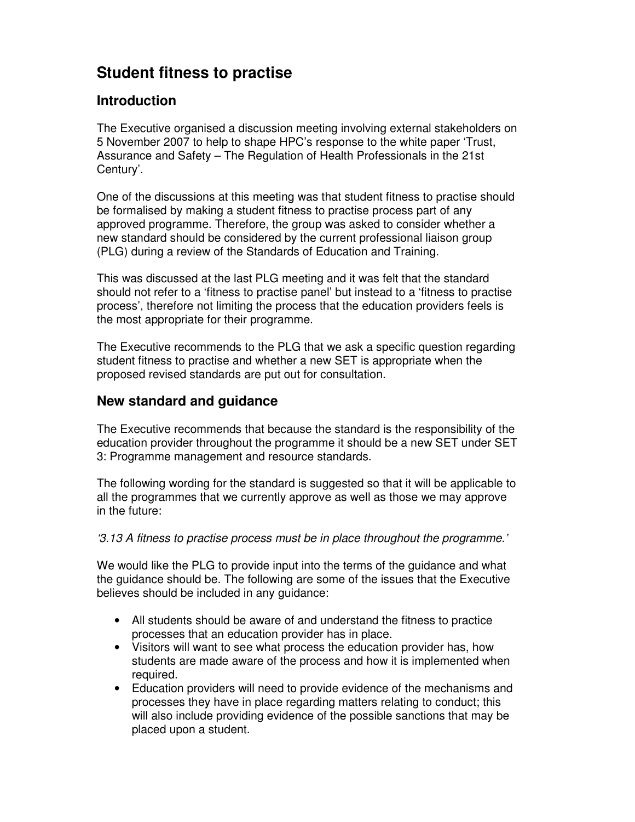# **Student fitness to practise**

## **Introduction**

The Executive organised a discussion meeting involving external stakeholders on 5 November 2007 to help to shape HPC's response to the white paper 'Trust, Assurance and Safety – The Regulation of Health Professionals in the 21st Century'.

One of the discussions at this meeting was that student fitness to practise should be formalised by making a student fitness to practise process part of any approved programme. Therefore, the group was asked to consider whether a new standard should be considered by the current professional liaison group (PLG) during a review of the Standards of Education and Training.

This was discussed at the last PLG meeting and it was felt that the standard should not refer to a 'fitness to practise panel' but instead to a 'fitness to practise process', therefore not limiting the process that the education providers feels is the most appropriate for their programme.

The Executive recommends to the PLG that we ask a specific question regarding student fitness to practise and whether a new SET is appropriate when the proposed revised standards are put out for consultation.

### **New standard and guidance**

The Executive recommends that because the standard is the responsibility of the education provider throughout the programme it should be a new SET under SET 3: Programme management and resource standards.

The following wording for the standard is suggested so that it will be applicable to all the programmes that we currently approve as well as those we may approve in the future:

'3.13 A fitness to practise process must be in place throughout the programme.'

We would like the PLG to provide input into the terms of the guidance and what the guidance should be. The following are some of the issues that the Executive believes should be included in any guidance:

- All students should be aware of and understand the fitness to practice processes that an education provider has in place.
- Visitors will want to see what process the education provider has, how students are made aware of the process and how it is implemented when required.
- Education providers will need to provide evidence of the mechanisms and processes they have in place regarding matters relating to conduct; this will also include providing evidence of the possible sanctions that may be placed upon a student.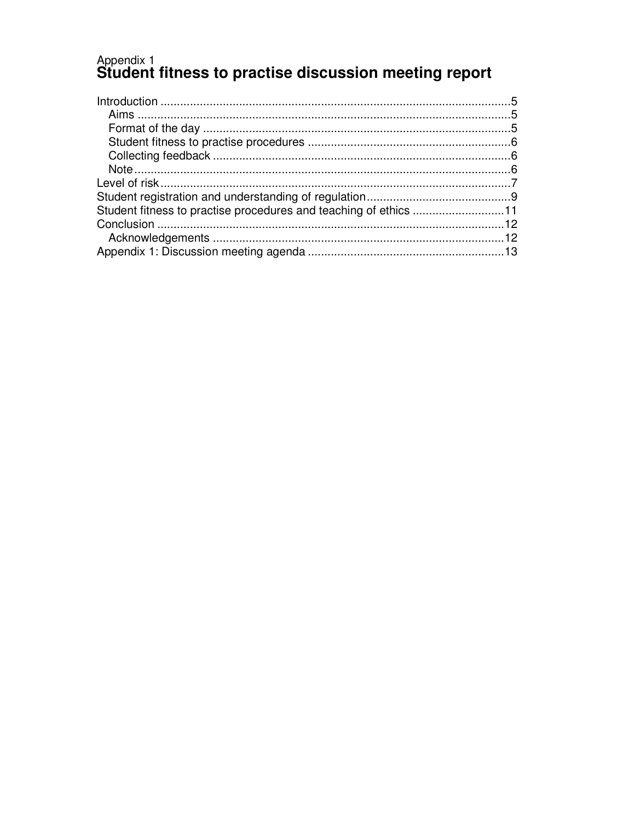# Appendix 1<br>Student fitness to practise discussion meeting report

| Student fitness to practise procedures and teaching of ethics 11 |  |
|------------------------------------------------------------------|--|
|                                                                  |  |
|                                                                  |  |
|                                                                  |  |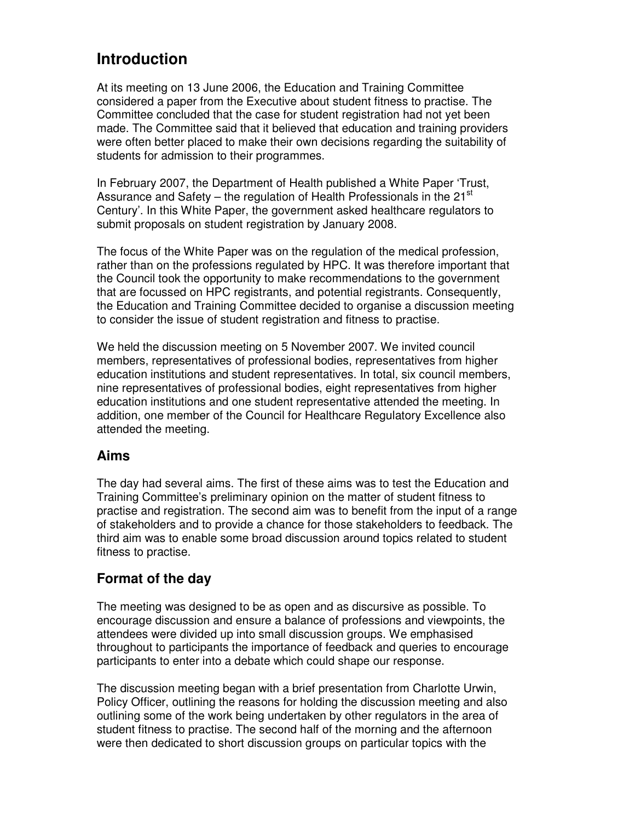# **Introduction**

At its meeting on 13 June 2006, the Education and Training Committee considered a paper from the Executive about student fitness to practise. The Committee concluded that the case for student registration had not yet been made. The Committee said that it believed that education and training providers were often better placed to make their own decisions regarding the suitability of students for admission to their programmes.

In February 2007, the Department of Health published a White Paper 'Trust, Assurance and Safety – the regulation of Health Professionals in the 21 $^{\rm st}$ Century'. In this White Paper, the government asked healthcare regulators to submit proposals on student registration by January 2008.

The focus of the White Paper was on the regulation of the medical profession, rather than on the professions regulated by HPC. It was therefore important that the Council took the opportunity to make recommendations to the government that are focussed on HPC registrants, and potential registrants. Consequently, the Education and Training Committee decided to organise a discussion meeting to consider the issue of student registration and fitness to practise.

We held the discussion meeting on 5 November 2007. We invited council members, representatives of professional bodies, representatives from higher education institutions and student representatives. In total, six council members, nine representatives of professional bodies, eight representatives from higher education institutions and one student representative attended the meeting. In addition, one member of the Council for Healthcare Regulatory Excellence also attended the meeting.

## **Aims**

The day had several aims. The first of these aims was to test the Education and Training Committee's preliminary opinion on the matter of student fitness to practise and registration. The second aim was to benefit from the input of a range of stakeholders and to provide a chance for those stakeholders to feedback. The third aim was to enable some broad discussion around topics related to student fitness to practise.

# **Format of the day**

The meeting was designed to be as open and as discursive as possible. To encourage discussion and ensure a balance of professions and viewpoints, the attendees were divided up into small discussion groups. We emphasised throughout to participants the importance of feedback and queries to encourage participants to enter into a debate which could shape our response.

The discussion meeting began with a brief presentation from Charlotte Urwin, Policy Officer, outlining the reasons for holding the discussion meeting and also outlining some of the work being undertaken by other regulators in the area of student fitness to practise. The second half of the morning and the afternoon were then dedicated to short discussion groups on particular topics with the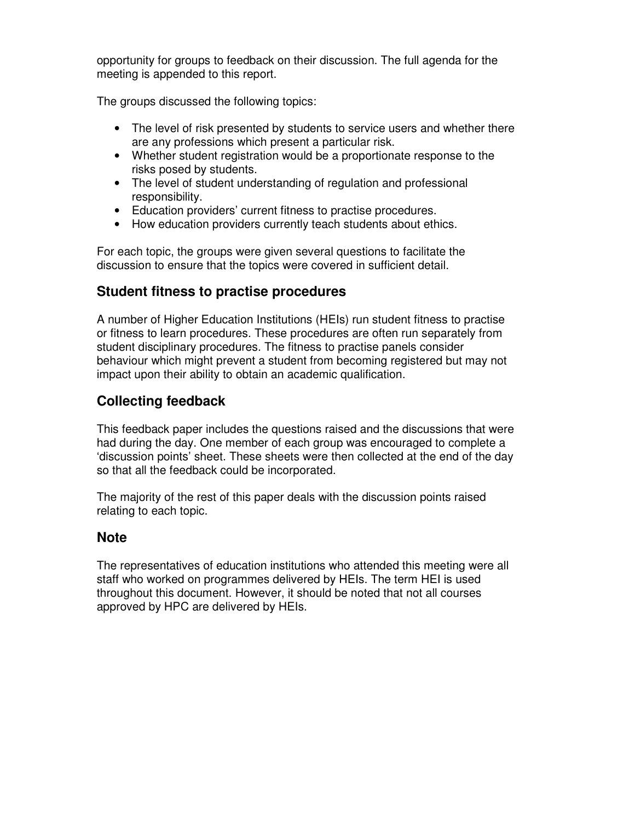opportunity for groups to feedback on their discussion. The full agenda for the meeting is appended to this report.

The groups discussed the following topics:

- The level of risk presented by students to service users and whether there are any professions which present a particular risk.
- Whether student registration would be a proportionate response to the risks posed by students.
- The level of student understanding of regulation and professional responsibility.
- Education providers' current fitness to practise procedures.
- How education providers currently teach students about ethics.

For each topic, the groups were given several questions to facilitate the discussion to ensure that the topics were covered in sufficient detail.

### **Student fitness to practise procedures**

A number of Higher Education Institutions (HEIs) run student fitness to practise or fitness to learn procedures. These procedures are often run separately from student disciplinary procedures. The fitness to practise panels consider behaviour which might prevent a student from becoming registered but may not impact upon their ability to obtain an academic qualification.

## **Collecting feedback**

This feedback paper includes the questions raised and the discussions that were had during the day. One member of each group was encouraged to complete a 'discussion points' sheet. These sheets were then collected at the end of the day so that all the feedback could be incorporated.

The majority of the rest of this paper deals with the discussion points raised relating to each topic.

#### **Note**

The representatives of education institutions who attended this meeting were all staff who worked on programmes delivered by HEIs. The term HEI is used throughout this document. However, it should be noted that not all courses approved by HPC are delivered by HEIs.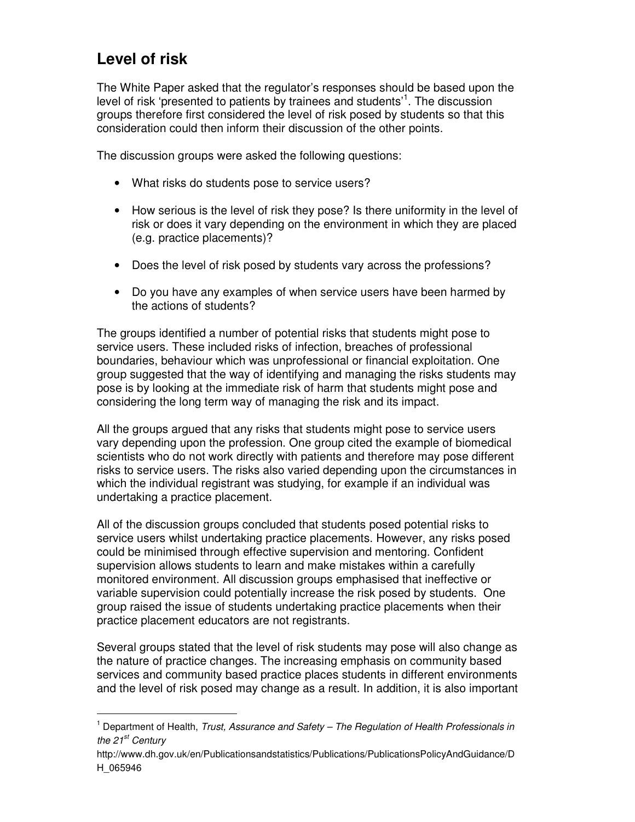# **Level of risk**

-

The White Paper asked that the regulator's responses should be based upon the level of risk 'presented to patients by trainees and students'<sup>1</sup>. The discussion groups therefore first considered the level of risk posed by students so that this consideration could then inform their discussion of the other points.

The discussion groups were asked the following questions:

- What risks do students pose to service users?
- How serious is the level of risk they pose? Is there uniformity in the level of risk or does it vary depending on the environment in which they are placed (e.g. practice placements)?
- Does the level of risk posed by students vary across the professions?
- Do you have any examples of when service users have been harmed by the actions of students?

The groups identified a number of potential risks that students might pose to service users. These included risks of infection, breaches of professional boundaries, behaviour which was unprofessional or financial exploitation. One group suggested that the way of identifying and managing the risks students may pose is by looking at the immediate risk of harm that students might pose and considering the long term way of managing the risk and its impact.

All the groups argued that any risks that students might pose to service users vary depending upon the profession. One group cited the example of biomedical scientists who do not work directly with patients and therefore may pose different risks to service users. The risks also varied depending upon the circumstances in which the individual registrant was studying, for example if an individual was undertaking a practice placement.

All of the discussion groups concluded that students posed potential risks to service users whilst undertaking practice placements. However, any risks posed could be minimised through effective supervision and mentoring. Confident supervision allows students to learn and make mistakes within a carefully monitored environment. All discussion groups emphasised that ineffective or variable supervision could potentially increase the risk posed by students. One group raised the issue of students undertaking practice placements when their practice placement educators are not registrants.

Several groups stated that the level of risk students may pose will also change as the nature of practice changes. The increasing emphasis on community based services and community based practice places students in different environments and the level of risk posed may change as a result. In addition, it is also important

<sup>&</sup>lt;sup>1</sup> Department of Health, Trust, Assurance and Safety – The Regulation of Health Professionals in the 21<sup>st</sup> Century

http://www.dh.gov.uk/en/Publicationsandstatistics/Publications/PublicationsPolicyAndGuidance/D H\_065946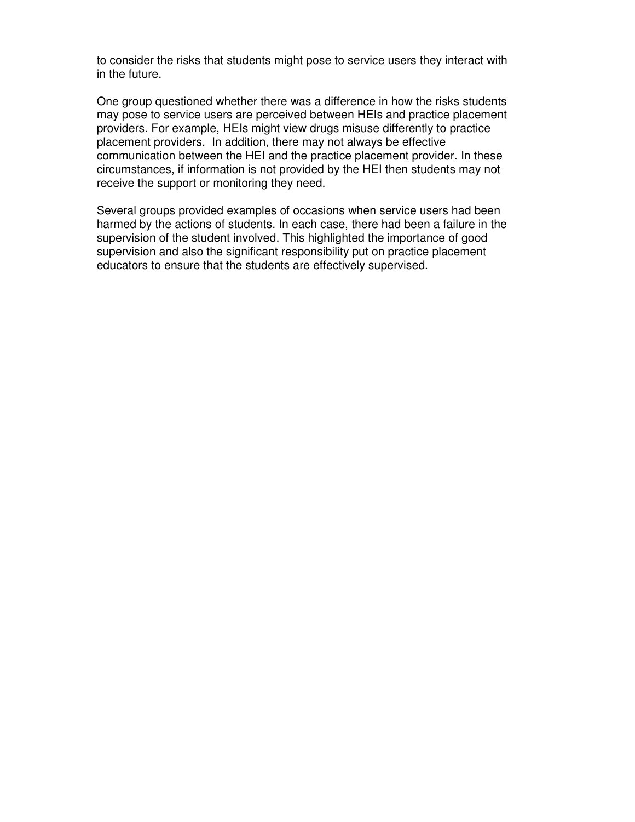to consider the risks that students might pose to service users they interact with in the future.

One group questioned whether there was a difference in how the risks students may pose to service users are perceived between HEIs and practice placement providers. For example, HEIs might view drugs misuse differently to practice placement providers. In addition, there may not always be effective communication between the HEI and the practice placement provider. In these circumstances, if information is not provided by the HEI then students may not receive the support or monitoring they need.

Several groups provided examples of occasions when service users had been harmed by the actions of students. In each case, there had been a failure in the supervision of the student involved. This highlighted the importance of good supervision and also the significant responsibility put on practice placement educators to ensure that the students are effectively supervised.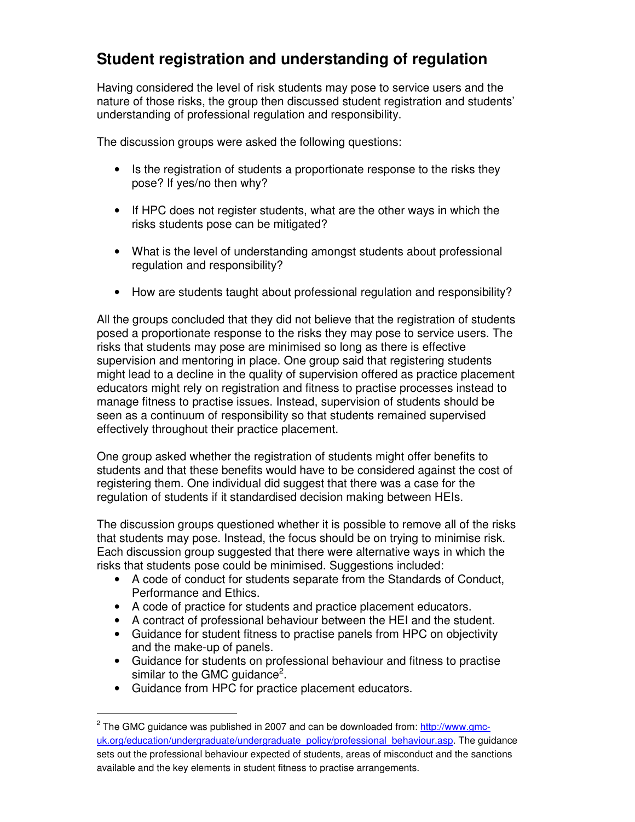# **Student registration and understanding of regulation**

Having considered the level of risk students may pose to service users and the nature of those risks, the group then discussed student registration and students' understanding of professional regulation and responsibility.

The discussion groups were asked the following questions:

- Is the registration of students a proportionate response to the risks they pose? If yes/no then why?
- If HPC does not register students, what are the other ways in which the risks students pose can be mitigated?
- What is the level of understanding amongst students about professional regulation and responsibility?
- How are students taught about professional regulation and responsibility?

All the groups concluded that they did not believe that the registration of students posed a proportionate response to the risks they may pose to service users. The risks that students may pose are minimised so long as there is effective supervision and mentoring in place. One group said that registering students might lead to a decline in the quality of supervision offered as practice placement educators might rely on registration and fitness to practise processes instead to manage fitness to practise issues. Instead, supervision of students should be seen as a continuum of responsibility so that students remained supervised effectively throughout their practice placement.

One group asked whether the registration of students might offer benefits to students and that these benefits would have to be considered against the cost of registering them. One individual did suggest that there was a case for the regulation of students if it standardised decision making between HEIs.

The discussion groups questioned whether it is possible to remove all of the risks that students may pose. Instead, the focus should be on trying to minimise risk. Each discussion group suggested that there were alternative ways in which the risks that students pose could be minimised. Suggestions included:

- A code of conduct for students separate from the Standards of Conduct, Performance and Ethics.
- A code of practice for students and practice placement educators.
- A contract of professional behaviour between the HEI and the student.
- Guidance for student fitness to practise panels from HPC on objectivity and the make-up of panels.
- Guidance for students on professional behaviour and fitness to practise similar to the GMC guidance<sup>2</sup>.
- Guidance from HPC for practice placement educators.

-

<sup>&</sup>lt;sup>2</sup> The GMC guidance was published in 2007 and can be downloaded from: http://www.gmcuk.org/education/undergraduate/undergraduate\_policy/professional\_behaviour.asp. The guidance sets out the professional behaviour expected of students, areas of misconduct and the sanctions available and the key elements in student fitness to practise arrangements.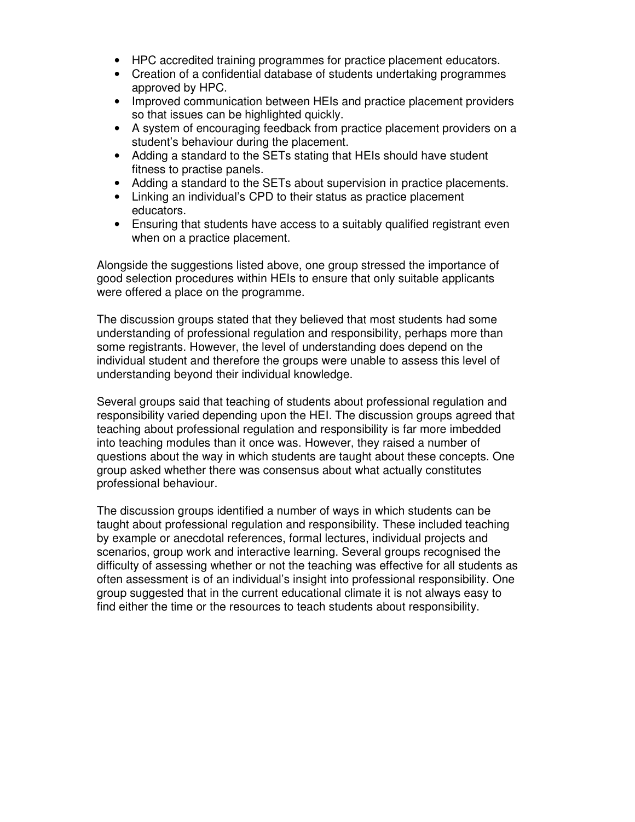- HPC accredited training programmes for practice placement educators.
- Creation of a confidential database of students undertaking programmes approved by HPC.
- Improved communication between HEIs and practice placement providers so that issues can be highlighted quickly.
- A system of encouraging feedback from practice placement providers on a student's behaviour during the placement.
- Adding a standard to the SETs stating that HEIs should have student fitness to practise panels.
- Adding a standard to the SETs about supervision in practice placements.
- Linking an individual's CPD to their status as practice placement educators.
- Ensuring that students have access to a suitably qualified registrant even when on a practice placement.

Alongside the suggestions listed above, one group stressed the importance of good selection procedures within HEIs to ensure that only suitable applicants were offered a place on the programme.

The discussion groups stated that they believed that most students had some understanding of professional regulation and responsibility, perhaps more than some registrants. However, the level of understanding does depend on the individual student and therefore the groups were unable to assess this level of understanding beyond their individual knowledge.

Several groups said that teaching of students about professional regulation and responsibility varied depending upon the HEI. The discussion groups agreed that teaching about professional regulation and responsibility is far more imbedded into teaching modules than it once was. However, they raised a number of questions about the way in which students are taught about these concepts. One group asked whether there was consensus about what actually constitutes professional behaviour.

The discussion groups identified a number of ways in which students can be taught about professional regulation and responsibility. These included teaching by example or anecdotal references, formal lectures, individual projects and scenarios, group work and interactive learning. Several groups recognised the difficulty of assessing whether or not the teaching was effective for all students as often assessment is of an individual's insight into professional responsibility. One group suggested that in the current educational climate it is not always easy to find either the time or the resources to teach students about responsibility.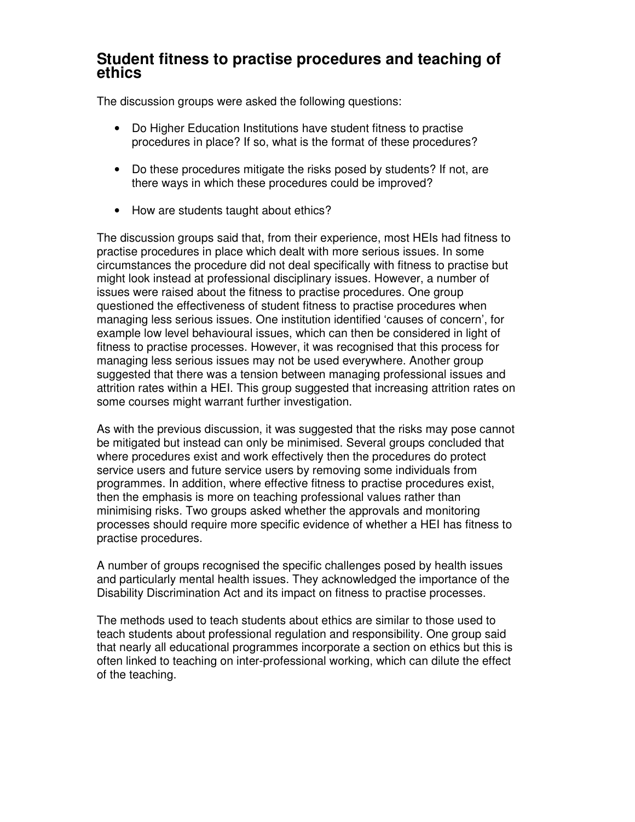### **Student fitness to practise procedures and teaching of ethics**

The discussion groups were asked the following questions:

- Do Higher Education Institutions have student fitness to practise procedures in place? If so, what is the format of these procedures?
- Do these procedures mitigate the risks posed by students? If not, are there ways in which these procedures could be improved?
- How are students taught about ethics?

The discussion groups said that, from their experience, most HEIs had fitness to practise procedures in place which dealt with more serious issues. In some circumstances the procedure did not deal specifically with fitness to practise but might look instead at professional disciplinary issues. However, a number of issues were raised about the fitness to practise procedures. One group questioned the effectiveness of student fitness to practise procedures when managing less serious issues. One institution identified 'causes of concern', for example low level behavioural issues, which can then be considered in light of fitness to practise processes. However, it was recognised that this process for managing less serious issues may not be used everywhere. Another group suggested that there was a tension between managing professional issues and attrition rates within a HEI. This group suggested that increasing attrition rates on some courses might warrant further investigation.

As with the previous discussion, it was suggested that the risks may pose cannot be mitigated but instead can only be minimised. Several groups concluded that where procedures exist and work effectively then the procedures do protect service users and future service users by removing some individuals from programmes. In addition, where effective fitness to practise procedures exist, then the emphasis is more on teaching professional values rather than minimising risks. Two groups asked whether the approvals and monitoring processes should require more specific evidence of whether a HEI has fitness to practise procedures.

A number of groups recognised the specific challenges posed by health issues and particularly mental health issues. They acknowledged the importance of the Disability Discrimination Act and its impact on fitness to practise processes.

The methods used to teach students about ethics are similar to those used to teach students about professional regulation and responsibility. One group said that nearly all educational programmes incorporate a section on ethics but this is often linked to teaching on inter-professional working, which can dilute the effect of the teaching.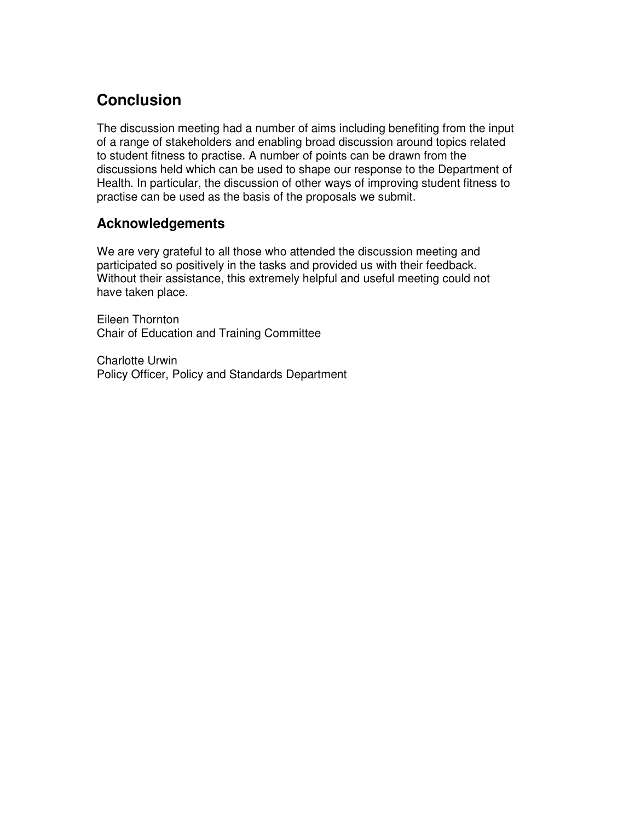# **Conclusion**

The discussion meeting had a number of aims including benefiting from the input of a range of stakeholders and enabling broad discussion around topics related to student fitness to practise. A number of points can be drawn from the discussions held which can be used to shape our response to the Department of Health. In particular, the discussion of other ways of improving student fitness to practise can be used as the basis of the proposals we submit.

## **Acknowledgements**

We are very grateful to all those who attended the discussion meeting and participated so positively in the tasks and provided us with their feedback. Without their assistance, this extremely helpful and useful meeting could not have taken place.

Eileen Thornton Chair of Education and Training Committee

Charlotte Urwin Policy Officer, Policy and Standards Department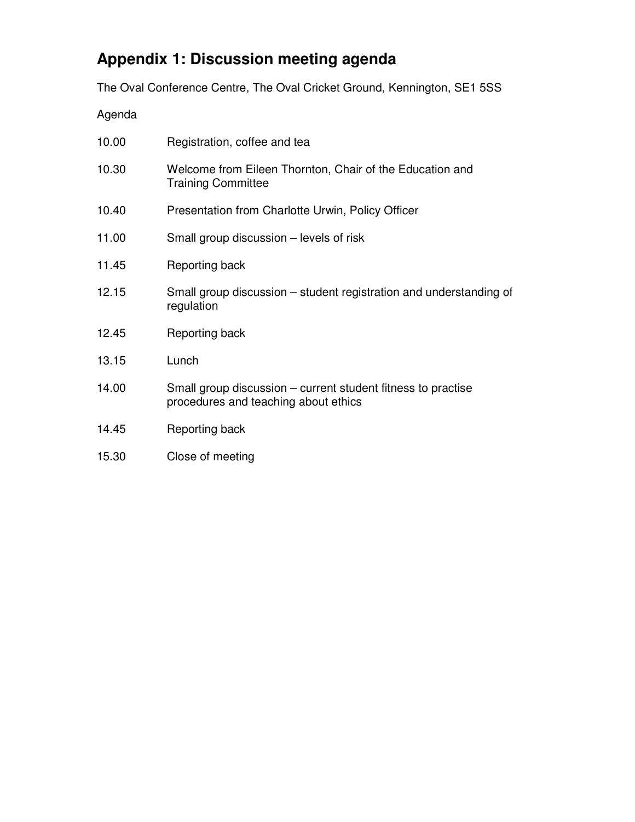# **Appendix 1: Discussion meeting agenda**

The Oval Conference Centre, The Oval Cricket Ground, Kennington, SE1 5SS

Agenda

| 10.00 | Registration, coffee and tea                                                                         |
|-------|------------------------------------------------------------------------------------------------------|
| 10.30 | Welcome from Eileen Thornton, Chair of the Education and<br><b>Training Committee</b>                |
| 10.40 | Presentation from Charlotte Urwin, Policy Officer                                                    |
| 11.00 | Small group discussion – levels of risk                                                              |
| 11.45 | Reporting back                                                                                       |
| 12.15 | Small group discussion – student registration and understanding of<br>regulation                     |
| 12.45 | Reporting back                                                                                       |
| 13.15 | Lunch                                                                                                |
| 14.00 | Small group discussion – current student fitness to practise<br>procedures and teaching about ethics |
| 14.45 | Reporting back                                                                                       |
| 15.30 | Close of meeting                                                                                     |
|       |                                                                                                      |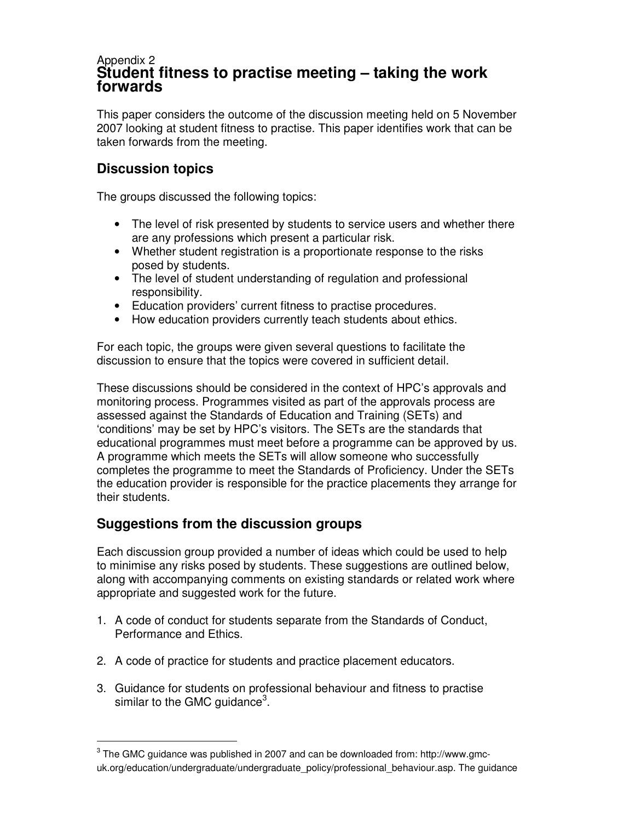#### Appendix 2 **Student fitness to practise meeting – taking the work forwards**

This paper considers the outcome of the discussion meeting held on 5 November 2007 looking at student fitness to practise. This paper identifies work that can be taken forwards from the meeting.

#### **Discussion topics**

-

The groups discussed the following topics:

- The level of risk presented by students to service users and whether there are any professions which present a particular risk.
- Whether student registration is a proportionate response to the risks posed by students.
- The level of student understanding of regulation and professional responsibility.
- Education providers' current fitness to practise procedures.
- How education providers currently teach students about ethics.

For each topic, the groups were given several questions to facilitate the discussion to ensure that the topics were covered in sufficient detail.

These discussions should be considered in the context of HPC's approvals and monitoring process. Programmes visited as part of the approvals process are assessed against the Standards of Education and Training (SETs) and 'conditions' may be set by HPC's visitors. The SETs are the standards that educational programmes must meet before a programme can be approved by us. A programme which meets the SETs will allow someone who successfully completes the programme to meet the Standards of Proficiency. Under the SETs the education provider is responsible for the practice placements they arrange for their students.

## **Suggestions from the discussion groups**

Each discussion group provided a number of ideas which could be used to help to minimise any risks posed by students. These suggestions are outlined below, along with accompanying comments on existing standards or related work where appropriate and suggested work for the future.

- 1. A code of conduct for students separate from the Standards of Conduct, Performance and Ethics.
- 2. A code of practice for students and practice placement educators.
- 3. Guidance for students on professional behaviour and fitness to practise similar to the GMC guidance<sup>3</sup>.

 $^3$  The GMC guidance was published in 2007 and can be downloaded from: http://www.gmcuk.org/education/undergraduate/undergraduate\_policy/professional\_behaviour.asp. The guidance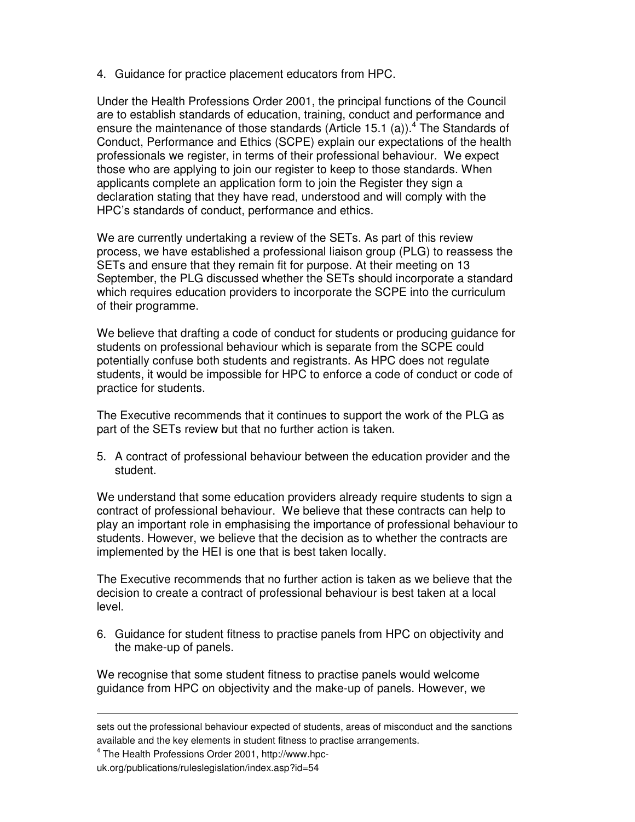4. Guidance for practice placement educators from HPC.

Under the Health Professions Order 2001, the principal functions of the Council are to establish standards of education, training, conduct and performance and ensure the maintenance of those standards (Article 15.1 (a)). $4$  The Standards of Conduct, Performance and Ethics (SCPE) explain our expectations of the health professionals we register, in terms of their professional behaviour. We expect those who are applying to join our register to keep to those standards. When applicants complete an application form to join the Register they sign a declaration stating that they have read, understood and will comply with the HPC's standards of conduct, performance and ethics.

We are currently undertaking a review of the SETs. As part of this review process, we have established a professional liaison group (PLG) to reassess the SETs and ensure that they remain fit for purpose. At their meeting on 13 September, the PLG discussed whether the SETs should incorporate a standard which requires education providers to incorporate the SCPE into the curriculum of their programme.

We believe that drafting a code of conduct for students or producing guidance for students on professional behaviour which is separate from the SCPE could potentially confuse both students and registrants. As HPC does not regulate students, it would be impossible for HPC to enforce a code of conduct or code of practice for students.

The Executive recommends that it continues to support the work of the PLG as part of the SETs review but that no further action is taken.

5. A contract of professional behaviour between the education provider and the student.

We understand that some education providers already require students to sign a contract of professional behaviour. We believe that these contracts can help to play an important role in emphasising the importance of professional behaviour to students. However, we believe that the decision as to whether the contracts are implemented by the HEI is one that is best taken locally.

The Executive recommends that no further action is taken as we believe that the decision to create a contract of professional behaviour is best taken at a local level.

6. Guidance for student fitness to practise panels from HPC on objectivity and the make-up of panels.

We recognise that some student fitness to practise panels would welcome guidance from HPC on objectivity and the make-up of panels. However, we

-

sets out the professional behaviour expected of students, areas of misconduct and the sanctions available and the key elements in student fitness to practise arrangements.

<sup>4</sup> The Health Professions Order 2001, http://www.hpc-

uk.org/publications/ruleslegislation/index.asp?id=54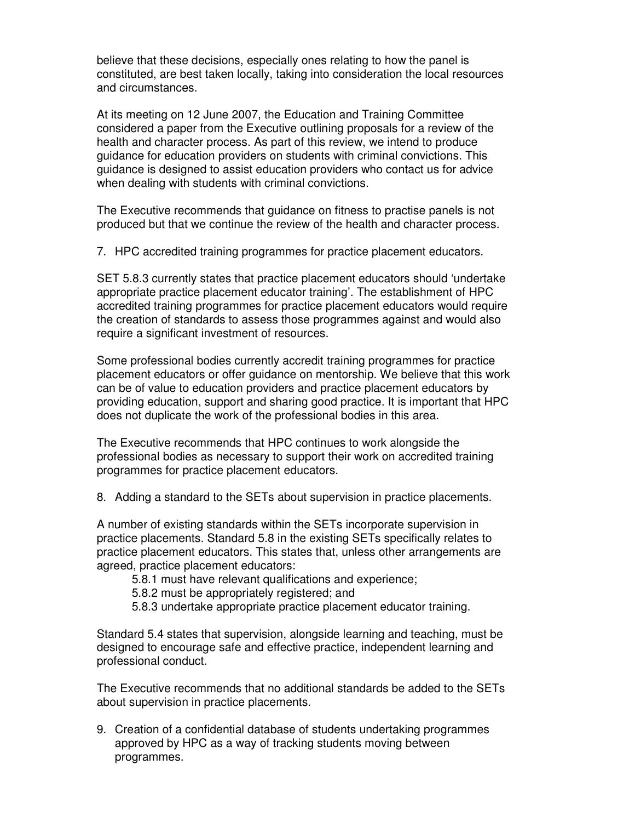believe that these decisions, especially ones relating to how the panel is constituted, are best taken locally, taking into consideration the local resources and circumstances.

At its meeting on 12 June 2007, the Education and Training Committee considered a paper from the Executive outlining proposals for a review of the health and character process. As part of this review, we intend to produce guidance for education providers on students with criminal convictions. This guidance is designed to assist education providers who contact us for advice when dealing with students with criminal convictions.

The Executive recommends that guidance on fitness to practise panels is not produced but that we continue the review of the health and character process.

7. HPC accredited training programmes for practice placement educators.

SET 5.8.3 currently states that practice placement educators should 'undertake appropriate practice placement educator training'. The establishment of HPC accredited training programmes for practice placement educators would require the creation of standards to assess those programmes against and would also require a significant investment of resources.

Some professional bodies currently accredit training programmes for practice placement educators or offer guidance on mentorship. We believe that this work can be of value to education providers and practice placement educators by providing education, support and sharing good practice. It is important that HPC does not duplicate the work of the professional bodies in this area.

The Executive recommends that HPC continues to work alongside the professional bodies as necessary to support their work on accredited training programmes for practice placement educators.

8. Adding a standard to the SETs about supervision in practice placements.

A number of existing standards within the SETs incorporate supervision in practice placements. Standard 5.8 in the existing SETs specifically relates to practice placement educators. This states that, unless other arrangements are agreed, practice placement educators:

5.8.1 must have relevant qualifications and experience;

- 5.8.2 must be appropriately registered; and
- 5.8.3 undertake appropriate practice placement educator training.

Standard 5.4 states that supervision, alongside learning and teaching, must be designed to encourage safe and effective practice, independent learning and professional conduct.

The Executive recommends that no additional standards be added to the SETs about supervision in practice placements.

9. Creation of a confidential database of students undertaking programmes approved by HPC as a way of tracking students moving between programmes.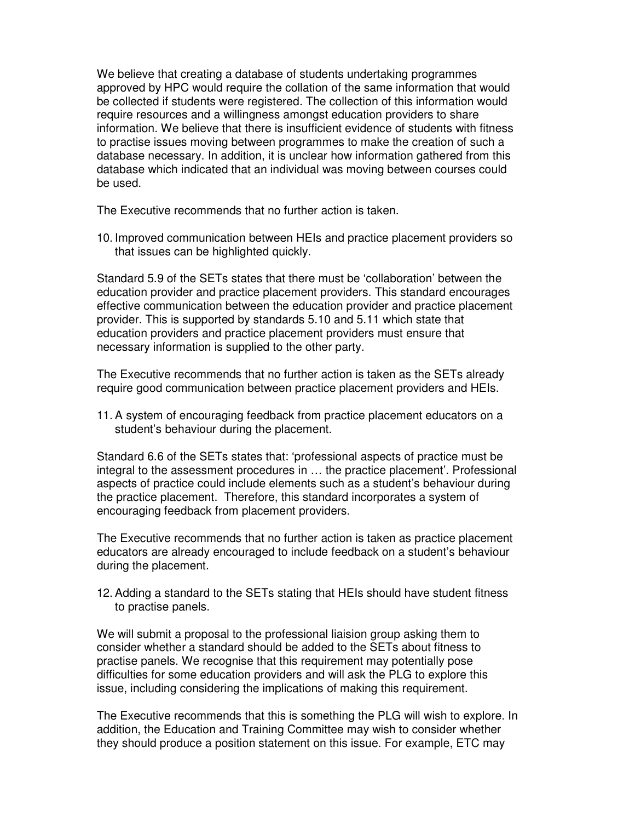We believe that creating a database of students undertaking programmes approved by HPC would require the collation of the same information that would be collected if students were registered. The collection of this information would require resources and a willingness amongst education providers to share information. We believe that there is insufficient evidence of students with fitness to practise issues moving between programmes to make the creation of such a database necessary. In addition, it is unclear how information gathered from this database which indicated that an individual was moving between courses could be used.

The Executive recommends that no further action is taken.

10. Improved communication between HEIs and practice placement providers so that issues can be highlighted quickly.

Standard 5.9 of the SETs states that there must be 'collaboration' between the education provider and practice placement providers. This standard encourages effective communication between the education provider and practice placement provider. This is supported by standards 5.10 and 5.11 which state that education providers and practice placement providers must ensure that necessary information is supplied to the other party.

The Executive recommends that no further action is taken as the SETs already require good communication between practice placement providers and HEIs.

11. A system of encouraging feedback from practice placement educators on a student's behaviour during the placement.

Standard 6.6 of the SETs states that: 'professional aspects of practice must be integral to the assessment procedures in … the practice placement'. Professional aspects of practice could include elements such as a student's behaviour during the practice placement. Therefore, this standard incorporates a system of encouraging feedback from placement providers.

The Executive recommends that no further action is taken as practice placement educators are already encouraged to include feedback on a student's behaviour during the placement.

12. Adding a standard to the SETs stating that HEIs should have student fitness to practise panels.

We will submit a proposal to the professional liaision group asking them to consider whether a standard should be added to the SETs about fitness to practise panels. We recognise that this requirement may potentially pose difficulties for some education providers and will ask the PLG to explore this issue, including considering the implications of making this requirement.

The Executive recommends that this is something the PLG will wish to explore. In addition, the Education and Training Committee may wish to consider whether they should produce a position statement on this issue. For example, ETC may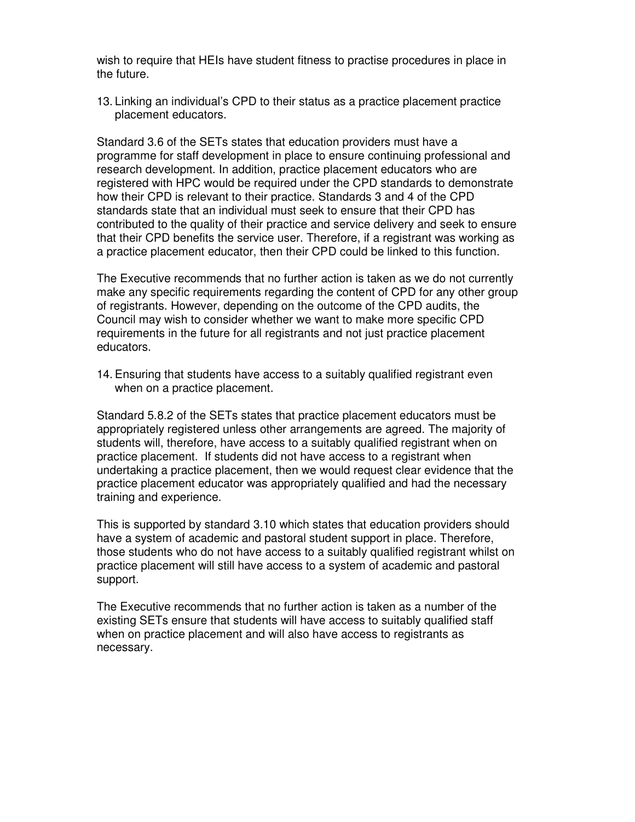wish to require that HEIs have student fitness to practise procedures in place in the future.

13. Linking an individual's CPD to their status as a practice placement practice placement educators.

Standard 3.6 of the SETs states that education providers must have a programme for staff development in place to ensure continuing professional and research development. In addition, practice placement educators who are registered with HPC would be required under the CPD standards to demonstrate how their CPD is relevant to their practice. Standards 3 and 4 of the CPD standards state that an individual must seek to ensure that their CPD has contributed to the quality of their practice and service delivery and seek to ensure that their CPD benefits the service user. Therefore, if a registrant was working as a practice placement educator, then their CPD could be linked to this function.

The Executive recommends that no further action is taken as we do not currently make any specific requirements regarding the content of CPD for any other group of registrants. However, depending on the outcome of the CPD audits, the Council may wish to consider whether we want to make more specific CPD requirements in the future for all registrants and not just practice placement educators.

14. Ensuring that students have access to a suitably qualified registrant even when on a practice placement.

Standard 5.8.2 of the SETs states that practice placement educators must be appropriately registered unless other arrangements are agreed. The majority of students will, therefore, have access to a suitably qualified registrant when on practice placement. If students did not have access to a registrant when undertaking a practice placement, then we would request clear evidence that the practice placement educator was appropriately qualified and had the necessary training and experience.

This is supported by standard 3.10 which states that education providers should have a system of academic and pastoral student support in place. Therefore, those students who do not have access to a suitably qualified registrant whilst on practice placement will still have access to a system of academic and pastoral support.

The Executive recommends that no further action is taken as a number of the existing SETs ensure that students will have access to suitably qualified staff when on practice placement and will also have access to registrants as necessary.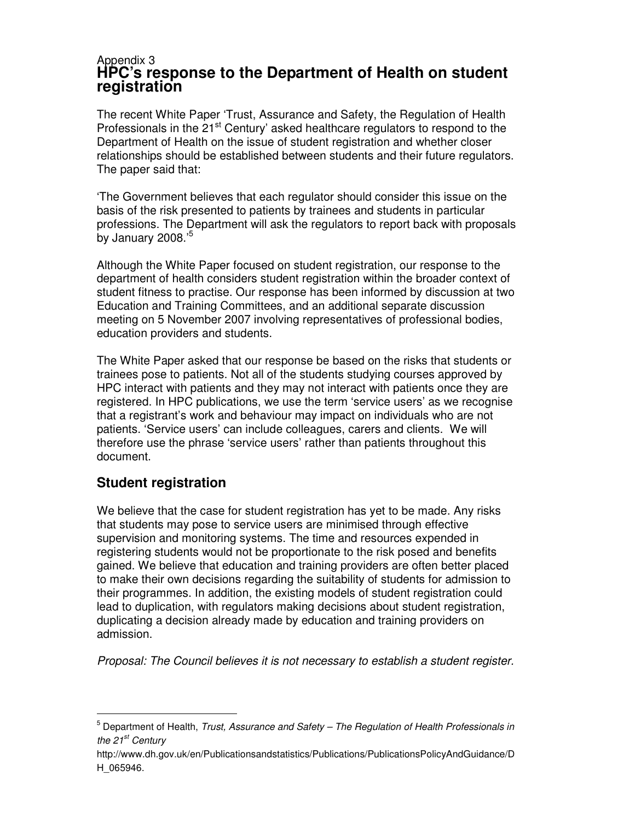#### Appendix 3 **HPC's response to the Department of Health on student registration**

The recent White Paper 'Trust, Assurance and Safety, the Regulation of Health Professionals in the 21<sup>st</sup> Century' asked healthcare regulators to respond to the Department of Health on the issue of student registration and whether closer relationships should be established between students and their future regulators. The paper said that:

'The Government believes that each regulator should consider this issue on the basis of the risk presented to patients by trainees and students in particular professions. The Department will ask the regulators to report back with proposals by January 2008.<sup>'5</sup>

Although the White Paper focused on student registration, our response to the department of health considers student registration within the broader context of student fitness to practise. Our response has been informed by discussion at two Education and Training Committees, and an additional separate discussion meeting on 5 November 2007 involving representatives of professional bodies, education providers and students.

The White Paper asked that our response be based on the risks that students or trainees pose to patients. Not all of the students studying courses approved by HPC interact with patients and they may not interact with patients once they are registered. In HPC publications, we use the term 'service users' as we recognise that a registrant's work and behaviour may impact on individuals who are not patients. 'Service users' can include colleagues, carers and clients. We will therefore use the phrase 'service users' rather than patients throughout this document.

#### **Student registration**

-

We believe that the case for student registration has yet to be made. Any risks that students may pose to service users are minimised through effective supervision and monitoring systems. The time and resources expended in registering students would not be proportionate to the risk posed and benefits gained. We believe that education and training providers are often better placed to make their own decisions regarding the suitability of students for admission to their programmes. In addition, the existing models of student registration could lead to duplication, with regulators making decisions about student registration, duplicating a decision already made by education and training providers on admission.

Proposal: The Council believes it is not necessary to establish a student register.

<sup>&</sup>lt;sup>5</sup> Department of Health, *Trust, Assurance and Safety – The Regulation of Health Professionals in* the 21<sup>st</sup> Century

http://www.dh.gov.uk/en/Publicationsandstatistics/Publications/PublicationsPolicyAndGuidance/D H\_065946.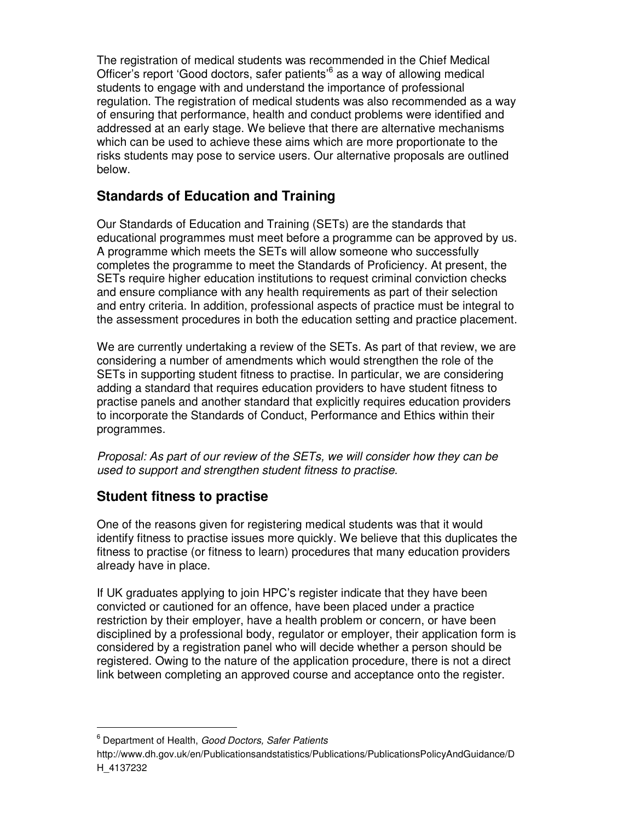The registration of medical students was recommended in the Chief Medical Officer's report 'Good doctors, safer patients'<sup>6</sup> as a way of allowing medical students to engage with and understand the importance of professional regulation. The registration of medical students was also recommended as a way of ensuring that performance, health and conduct problems were identified and addressed at an early stage. We believe that there are alternative mechanisms which can be used to achieve these aims which are more proportionate to the risks students may pose to service users. Our alternative proposals are outlined below.

# **Standards of Education and Training**

Our Standards of Education and Training (SETs) are the standards that educational programmes must meet before a programme can be approved by us. A programme which meets the SETs will allow someone who successfully completes the programme to meet the Standards of Proficiency. At present, the SETs require higher education institutions to request criminal conviction checks and ensure compliance with any health requirements as part of their selection and entry criteria. In addition, professional aspects of practice must be integral to the assessment procedures in both the education setting and practice placement.

We are currently undertaking a review of the SETs. As part of that review, we are considering a number of amendments which would strengthen the role of the SETs in supporting student fitness to practise. In particular, we are considering adding a standard that requires education providers to have student fitness to practise panels and another standard that explicitly requires education providers to incorporate the Standards of Conduct, Performance and Ethics within their programmes.

Proposal: As part of our review of the SETs, we will consider how they can be used to support and strengthen student fitness to practise.

## **Student fitness to practise**

One of the reasons given for registering medical students was that it would identify fitness to practise issues more quickly. We believe that this duplicates the fitness to practise (or fitness to learn) procedures that many education providers already have in place.

If UK graduates applying to join HPC's register indicate that they have been convicted or cautioned for an offence, have been placed under a practice restriction by their employer, have a health problem or concern, or have been disciplined by a professional body, regulator or employer, their application form is considered by a registration panel who will decide whether a person should be registered. Owing to the nature of the application procedure, there is not a direct link between completing an approved course and acceptance onto the register.

-

<sup>&</sup>lt;sup>6</sup> Department of Health, Good Doctors, Safer Patients

http://www.dh.gov.uk/en/Publicationsandstatistics/Publications/PublicationsPolicyAndGuidance/D H\_4137232